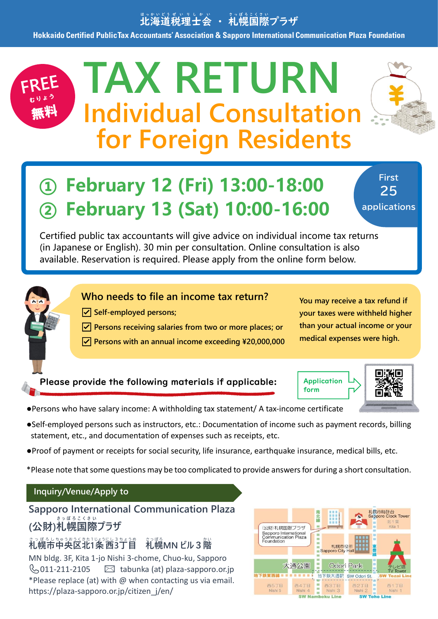## 『『海道税理士会 ・ 礼幌国際プラザ

**Hokkaido Certified Public Tax Accountants' Association & Sapporo International Communication Plaza Foundation**

# **TAX RETURN Individual Consultation for Foreign Residents**



**First 25 applications**

Certified public tax accountants will give advice on individual income tax returns (in Japanese or English). 30 min per consultation. Online consultation is also available. Reservation is required. Please apply from the online form below.



- ☑ **Self-employed persons;**
- ☑ **Persons receiving salaries from two or more places; or**
- ☑ **Persons with an annual income exceeding \20,000,000**

**You may receive a tax refund if your taxes were withheld higher than your actual income or your medical expenses were high.**

#### Please provide the following materials if applicable:

**Application** form



- ●Persons who have salary income: A withholding tax statement/ A tax-income certificate
- ●Self-employed persons such as instructors, etc.: Documentation of income such as payment records, billing statement, etc., and documentation of expenses such as receipts, etc.
- ●Proof of payment or receipts for social security, life insurance, earthquake insurance, medical bills, etc.

\*Please note that some questions may be too complicated to provide answers for during a short consultation.

#### **Inquiry/Venue/Apply to**

#### **Sapporo International Communication Plaza (公財)札幌 国際 プラザ さ っ ぽ ろ こ く さ い**

## <u>、そのおものは、そのは、そのようなのは、そのようなのは、そのようなのは、そのようなものです。<br>お<mark>幌市中央区北1条西3丁目 礼幌MN ビル3階</mark></u>

MN bldg. 3F, Kita 1-jo Nishi 3-chome, Chuo-ku, Sapporo  $\mathbb{Q}_{2011-211-2105}$   $\boxtimes$  tabunka (at) plaza-sapporo.or.jp \*Please replace (at) with @ when contacting us via email. https://plaza-sapporo.or.jp/citizen\_j/en/